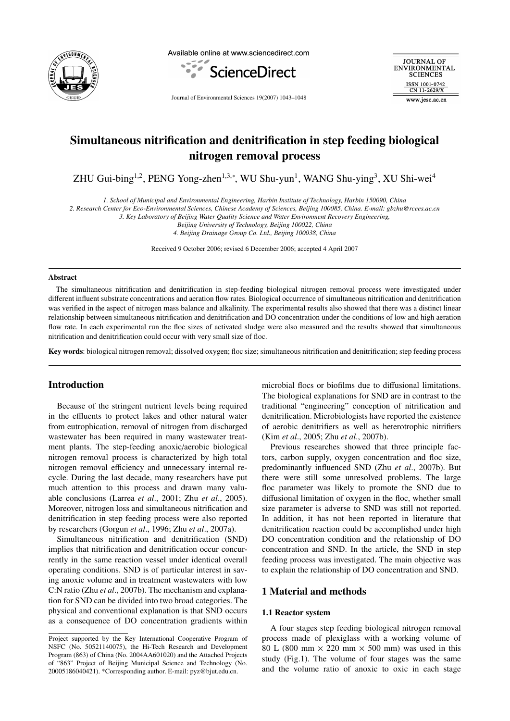

Available online at www.sciencedirect.com



Journal of Environmental Sciences 19(2007) 1043–1048

**JOURNAL OF** ENVIRONMENTAL **SCIENCES** ISSN 1001-0742 CN 11-2629/X

www.jesc.ac.cn

# Simultaneous nitrification and denitrification in step feeding biological nitrogen removal process

ZHU Gui-bing<sup>1,2</sup>, PENG Yong-zhen<sup>1,3,\*</sup>, WU Shu-yun<sup>1</sup>, WANG Shu-ying<sup>3</sup>, XU Shi-wei<sup>4</sup>

*1. School of Municipal and Environmental Engineering, Harbin Institute of Technology, Harbin 150090, China*

*2. Research Center for Eco-Environmental Sciences, Chinese Academy of Sciences, Beijing 100085, China. E-mail: gbzhu@rcees.ac.cn*

*3. Key Laboratory of Beijing Water Quality Science and Water Environment Recovery Engineering,*

*Beijing University of Technology, Beijing 100022, China*

*4. Beijing Drainage Group Co. Ltd., Beijing 100038, China*

Received 9 October 2006; revised 6 December 2006; accepted 4 April 2007

#### Abstract

The simultaneous nitrification and denitrification in step-feeding biological nitrogen removal process were investigated under different influent substrate concentrations and aeration flow rates. Biological occurrence of simultaneous nitrification and denitrification was verified in the aspect of nitrogen mass balance and alkalinity. The experimental results also showed that there was a distinct linear relationship between simultaneous nitrification and denitrification and DO concentration under the conditions of low and high aeration flow rate. In each experimental run the floc sizes of activated sludge were also measured and the results showed that simultaneous nitrification and denitrification could occur with very small size of floc.

Key words: biological nitrogen removal; dissolved oxygen; floc size; simultaneous nitrification and denitrification; step feeding process

# Introduction

Because of the stringent nutrient levels being required in the effluents to protect lakes and other natural water from eutrophication, removal of nitrogen from discharged wastewater has been required in many wastewater treatment plants. The step-feeding anoxic/aerobic biological nitrogen removal process is characterized by high total nitrogen removal efficiency and unnecessary internal recycle. During the last decade, many researchers have put much attention to this process and drawn many valuable conclusions (Larrea *et al*., 2001; Zhu *et al*., 2005). Moreover, nitrogen loss and simultaneous nitrification and denitrification in step feeding process were also reported by researchers (Gorgun *et al*., 1996; Zhu *et al*., 2007a).

Simultaneous nitrification and denitrification (SND) implies that nitrification and denitrification occur concurrently in the same reaction vessel under identical overall operating conditions. SND is of particular interest in saving anoxic volume and in treatment wastewaters with low C:N ratio (Zhu *et al*., 2007b). The mechanism and explanation for SND can be divided into two broad categories. The physical and conventional explanation is that SND occurs as a consequence of DO concentration gradients within

microbial flocs or biofilms due to diffusional limitations. The biological explanations for SND are in contrast to the traditional "engineering" conception of nitrification and denitrification. Microbiologists have reported the existence of aerobic denitrifiers as well as heterotrophic nitrifiers (Kim *et al*., 2005; Zhu *et al*., 2007b).

Previous researches showed that three principle factors, carbon supply, oxygen concentration and floc size, predominantly influenced SND (Zhu *et al*., 2007b). But there were still some unresolved problems. The large floc parameter was likely to promote the SND due to diffusional limitation of oxygen in the floc, whether small size parameter is adverse to SND was still not reported. In addition, it has not been reported in literature that denitrification reaction could be accomplished under high DO concentration condition and the relationship of DO concentration and SND. In the article, the SND in step feeding process was investigated. The main objective was to explain the relationship of DO concentration and SND.

# 1 Material and methods

#### 1.1 Reactor system

A four stages step feeding biological nitrogen removal process made of plexiglass with a working volume of 80 L (800 mm  $\times$  220 mm  $\times$  500 mm) was used in this study (Fig.1). The volume of four stages was the same and the volume ratio of anoxic to oxic in each stage

Project supported by the Key International Cooperative Program of NSFC (No. 50521140075), the Hi-Tech Research and Development Program (863) of China (No. 2004AA601020) and the Attached Projects of "863" Project of Beijing Municipal Science and Technology (No. 20005186040421). \*Corresponding author. E-mail: pyz@bjut.edu.cn.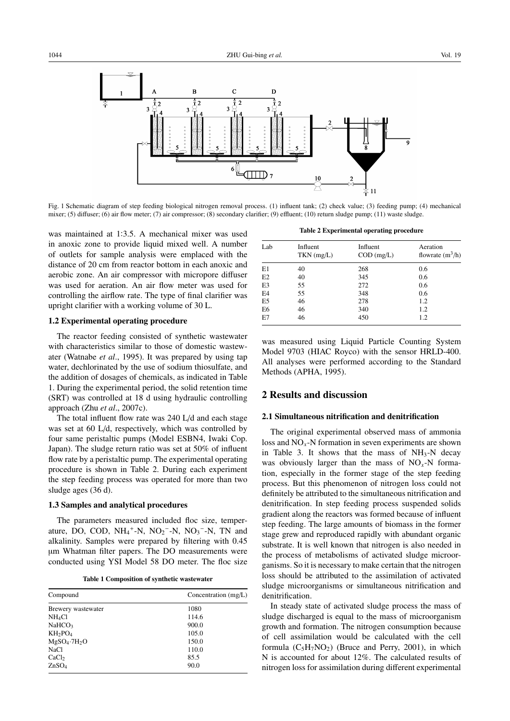

Fig. 1 Schematic diagram of step feeding biological nitrogen removal process. (1) influent tank; (2) check value; (3) feeding pump; (4) mechanical mixer; (5) diffuser; (6) air flow meter; (7) air compressor; (8) secondary clarifier; (9) effluent; (10) return sludge pump; (11) waste sludge.

was maintained at 1:3.5. A mechanical mixer was used in anoxic zone to provide liquid mixed well. A number of outlets for sample analysis were emplaced with the distance of 20 cm from reactor bottom in each anoxic and aerobic zone. An air compressor with micropore diffuser was used for aeration. An air flow meter was used for controlling the airflow rate. The type of final clarifier was upright clarifier with a working volume of 30 L.

#### 1.2 Experimental operating procedure

The reactor feeding consisted of synthetic wastewater with characteristics similar to those of domestic wastewater (Watnabe *et al*., 1995). It was prepared by using tap water, dechlorinated by the use of sodium thiosulfate, and the addition of dosages of chemicals, as indicated in Table 1. During the experimental period, the solid retention time (SRT) was controlled at 18 d using hydraulic controlling approach (Zhu *et al*., 2007c).

The total influent flow rate was 240 L/d and each stage was set at 60 L/d, respectively, which was controlled by four same peristaltic pumps (Model ESBN4, Iwaki Cop. Japan). The sludge return ratio was set at 50% of influent flow rate by a peristaltic pump. The experimental operating procedure is shown in Table 2. During each experiment the step feeding process was operated for more than two sludge ages (36 d).

#### 1.3 Samples and analytical procedures

The parameters measured included floc size, temperature, DO, COD,  $NH_4^+$ -N,  $NO_2^-$ -N,  $NO_3^-$ -N, TN and alkalinity. Samples were prepared by filtering with 0.45 µm Whatman filter papers. The DO measurements were conducted using YSI Model 58 DO meter. The floc size

Table 1 Composition of synthetic wastewater

| Compound                        | Concentration $(mg/L)$ |  |  |
|---------------------------------|------------------------|--|--|
| Brewery wastewater              | 1080                   |  |  |
| NH <sub>4</sub> Cl              | 114.6                  |  |  |
| NaHCO <sub>3</sub>              | 900.0                  |  |  |
| KH <sub>2</sub> PO <sub>4</sub> | 105.0                  |  |  |
| $MgSO_4.7H_2O$                  | 150.0                  |  |  |
| <b>NaCl</b>                     | 110.0                  |  |  |
| CaCl <sub>2</sub>               | 85.5                   |  |  |
| ZnSO <sub>4</sub>               | 90.0                   |  |  |

Table 2 Experimental operating procedure

| Lab            | Influent     | Influent     | Aeration           |  |  |
|----------------|--------------|--------------|--------------------|--|--|
|                | $TKN$ (mg/L) | $COD$ (mg/L) | flowrate $(m^3/h)$ |  |  |
| E1             | 40           | 268          | 0.6                |  |  |
| E2             | 40           | 345          | 0.6                |  |  |
| E3             | 55           | 272          | 0.6                |  |  |
| E4             | 55           | 348          | 0.6                |  |  |
| E <sub>5</sub> | 46           | 278          | 1.2                |  |  |
| E <sub>6</sub> | 46           | 340          | 1.2                |  |  |
| E7             | 46           | 450          | 1.2                |  |  |

was measured using Liquid Particle Counting System Model 9703 (HIAC Royco) with the sensor HRLD-400. All analyses were performed according to the Standard Methods (APHA, 1995).

# 2 Results and discussion

### 2.1 Simultaneous nitrification and denitrification

The original experimental observed mass of ammonia loss and NO*x*-N formation in seven experiments are shown in Table 3. It shows that the mass of  $NH<sub>3</sub>-N$  decay was obviously larger than the mass of NO*x*-N formation, especially in the former stage of the step feeding process. But this phenomenon of nitrogen loss could not definitely be attributed to the simultaneous nitrification and denitrification. In step feeding process suspended solids gradient along the reactors was formed because of influent step feeding. The large amounts of biomass in the former stage grew and reproduced rapidly with abundant organic substrate. It is well known that nitrogen is also needed in the process of metabolisms of activated sludge microorganisms. So it is necessary to make certain that the nitrogen loss should be attributed to the assimilation of activated sludge microorganisms or simultaneous nitrification and denitrification.

In steady state of activated sludge process the mass of sludge discharged is equal to the mass of microorganism growth and formation. The nitrogen consumption because of cell assimilation would be calculated with the cell formula  $(C_5H_7NO_2)$  (Bruce and Perry, 2001), in which N is accounted for about 12%. The calculated results of nitrogen loss for assimilation during different experimental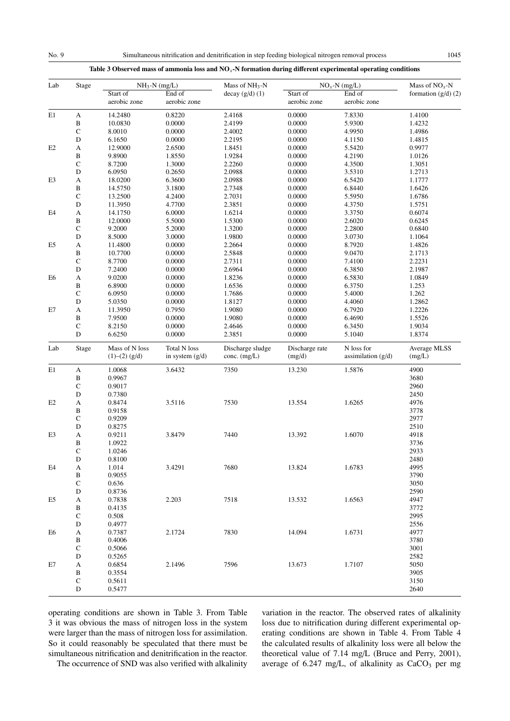## Table 3 Observed mass of ammonia loss and NO*x*-N formation during different experimental operating conditions

| Lab            | Stage        |                                   | $NH_3-N$ (mg/L)                 | Mass of NH <sub>3</sub> -N         | $NOx$ -N (mg/L)          | Mass of $NOx$ -N                   |                        |
|----------------|--------------|-----------------------------------|---------------------------------|------------------------------------|--------------------------|------------------------------------|------------------------|
|                |              | Start of<br>aerobic zone          | End of<br>aerobic zone          | decay $(g/d)$ (1)                  | Start of<br>aerobic zone | End of<br>aerobic zone             | formation $(g/d)$ (2)  |
| E1             | A            | 14.2480                           | 0.8220                          | 2.4168                             | 0.0000                   | 7.8330                             | 1.4100                 |
|                | $\, {\bf B}$ | 10.0830                           | 0.0000                          | 2.4199                             | 0.0000                   | 5.9300                             | 1.4232                 |
|                | ${\bf C}$    | 8.0010                            | 0.0000                          | 2.4002                             | 0.0000                   | 4.9950                             | 1.4986                 |
|                | ${\bf D}$    | 6.1650                            | 0.0000                          | 2.2195                             | 0.0000                   | 4.1150                             | 1.4815                 |
| E2             | A            | 12.9000                           | 2.6500                          | 1.8451                             | 0.0000                   | 5.5420                             | 0.9977                 |
|                | $\, {\bf B}$ | 9.8900                            | 1.8550                          | 1.9284                             | 0.0000                   | 4.2190                             | 1.0126                 |
|                | $\mathsf C$  | 8.7200                            | 1.3000                          | 2.2260                             | 0.0000                   | 4.3500                             | 1.3051                 |
|                | $\mathbf D$  | 6.0950                            | 0.2650                          | 2.0988                             | 0.0000                   | 3.5310                             | 1.2713                 |
| E3             | $\mathbf{A}$ | 18.0200                           | 6.3600                          | 2.0988                             | 0.0000                   | 6.5420                             | 1.1777                 |
|                | $\, {\bf B}$ | 14.5750                           | 3.1800                          | 2.7348                             | 0.0000                   | 6.8440                             | 1.6426                 |
|                | $\mathbf C$  | 13.2500                           | 4.2400                          | 2.7031                             | 0.0000                   | 5.5950                             | 1.6786                 |
|                | $\mathbf D$  | 11.3950                           | 4.7700                          | 2.3851                             | 0.0000                   | 4.3750                             |                        |
|                |              |                                   |                                 |                                    |                          |                                    | 1.5751                 |
| E <sub>4</sub> | $\mathbf A$  | 14.1750                           | 6.0000                          | 1.6214                             | 0.0000                   | 3.3750                             | 0.6074                 |
|                | $\, {\bf B}$ | 12.0000                           | 5.5000                          | 1.5300                             | 0.0000                   | 2.6020                             | 0.6245                 |
|                | $\mathbf C$  | 9.2000                            | 5.2000                          | 1.3200                             | 0.0000                   | 2.2800                             | 0.6840                 |
|                | ${\bf D}$    | 8.5000                            | 3.0000                          | 1.9800                             | 0.0000                   | 3.0730                             | 1.1064                 |
| E <sub>5</sub> | $\mathbf A$  | 11.4800                           | 0.0000                          | 2.2664                             | 0.0000                   | 8.7920                             | 1.4826                 |
|                | $\, {\bf B}$ | 10.7700                           | 0.0000                          | 2.5848                             | 0.0000                   | 9.0470                             | 2.1713                 |
|                | $\mathsf C$  | 8.7700                            | 0.0000                          | 2.7311                             | 0.0000                   | 7.4100                             | 2.2231                 |
|                | ${\bf D}$    | 7.2400                            | 0.0000                          | 2.6964                             | 0.0000                   | 6.3850                             | 2.1987                 |
| E <sub>6</sub> | A            | 9.0200                            | 0.0000                          | 1.8236                             | 0.0000                   | 6.5830                             | 1.0849                 |
|                | $\, {\bf B}$ | 6.8900                            | 0.0000                          | 1.6536                             | 0.0000                   | 6.3750                             | 1.253                  |
|                | $\mathsf C$  | 6.0950                            | 0.0000                          | 1.7686                             | 0.0000                   | 5.4000                             | 1.262                  |
|                | $\mathbf D$  | 5.0350                            | 0.0000                          | 1.8127                             | 0.0000                   | 4.4060                             | 1.2862                 |
| E7             | $\mathbf{A}$ | 11.3950                           | 0.7950                          | 1.9080                             | 0.0000                   | 6.7920                             | 1.2226                 |
|                | $\, {\bf B}$ | 7.9500                            | 0.0000                          | 1.9080                             | 0.0000                   | 6.4690                             | 1.5526                 |
|                | $\mathbf C$  | 8.2150                            | 0.0000                          | 2.4646                             | 0.0000                   | 6.3450                             | 1.9034                 |
|                | D            | 6.6250                            | 0.0000                          | 2.3851                             | 0.0000                   | 5.1040                             | 1.8374                 |
| Lab            | Stage        | Mass of N loss<br>$(1)–(2)$ (g/d) | Total N loss<br>in system (g/d) | Discharge sludge<br>conc. $(mg/L)$ | Discharge rate<br>(mg/d) | N loss for<br>assimilation $(g/d)$ | Average MLSS<br>(mg/L) |
| E1             | A            | 1.0068                            | 3.6432                          | 7350                               | 13.230                   | 1.5876                             | 4900                   |
|                | $\, {\bf B}$ | 0.9967                            |                                 |                                    |                          |                                    | 3680                   |
|                | $\mathbf C$  | 0.9017                            |                                 |                                    |                          |                                    | 2960                   |
|                | $\mathbf D$  | 0.7380                            |                                 |                                    |                          |                                    | 2450                   |
| E2             | A            | 0.8474                            | 3.5116                          | 7530                               | 13.554                   | 1.6265                             | 4976                   |
|                | $\, {\bf B}$ | 0.9158                            |                                 |                                    |                          |                                    | 3778                   |
|                | $\mathbf C$  | 0.9209                            |                                 |                                    |                          |                                    | 2977                   |
|                | $\mathbf D$  | 0.8275                            |                                 |                                    |                          |                                    | 2510                   |
| E3             | $\mathbf A$  | 0.9211                            | 3.8479                          | 7440                               | 13.392                   | 1.6070                             | 4918                   |
|                | $\, {\bf B}$ | 1.0922                            |                                 |                                    |                          |                                    | 3736                   |
|                | $\mathsf C$  | 1.0246                            |                                 |                                    |                          |                                    | 2933                   |
|                | $\mathbf D$  | 0.8100                            |                                 |                                    |                          |                                    | 2480                   |
| E4             | A            | 1.014                             | 3.4291                          | 7680                               | 13.824                   | 1.6783                             | 4995                   |
|                | B            | 0.9055                            |                                 |                                    |                          |                                    | 3790                   |
|                |              |                                   |                                 |                                    |                          |                                    |                        |
|                | $\mathbf C$  | 0.636                             |                                 |                                    |                          |                                    | 3050                   |
|                | D            | 0.8736                            |                                 |                                    |                          |                                    | 2590                   |
| E5             | А            | 0.7838                            | 2.203                           | 7518                               | 13.532                   | 1.6563                             | 4947                   |
|                | B            | 0.4135                            |                                 |                                    |                          |                                    | 3772                   |
|                | $\mathbf C$  | 0.508                             |                                 |                                    |                          |                                    | 2995                   |
|                | ${\bf D}$    | 0.4977                            |                                 |                                    |                          |                                    | 2556                   |
| E6             | А            | 0.7387                            | 2.1724                          | 7830                               | 14.094                   | 1.6731                             | 4977                   |
|                | B            | 0.4006                            |                                 |                                    |                          |                                    | 3780                   |
|                | $\mathbf C$  | 0.5066                            |                                 |                                    |                          |                                    | 3001                   |
|                | D            | 0.5265                            |                                 |                                    |                          |                                    | 2582                   |
| E7             | A            | 0.6854                            | 2.1496                          | 7596                               | 13.673                   | 1.7107                             | 5050                   |
|                | B            | 0.3554                            |                                 |                                    |                          |                                    | 3905                   |
|                | $\mathbf C$  | 0.5611                            |                                 |                                    |                          |                                    | 3150                   |
|                | D            | 0.5477                            |                                 |                                    |                          |                                    | 2640                   |

operating conditions are shown in Table 3. From Table 3 it was obvious the mass of nitrogen loss in the system were larger than the mass of nitrogen loss for assimilation. So it could reasonably be speculated that there must be simultaneous nitrification and denitrification in the reactor. The occurrence of SND was also verified with alkalinity variation in the reactor. The observed rates of alkalinity loss due to nitrification during different experimental operating conditions are shown in Table 4. From Table 4 the calculated results of alkalinity loss were all below the theoretical value of 7.14 mg/L (Bruce and Perry, 2001), average of  $6.247 \text{ mg/L}$ , of alkalinity as  $CaCO<sub>3</sub>$  per mg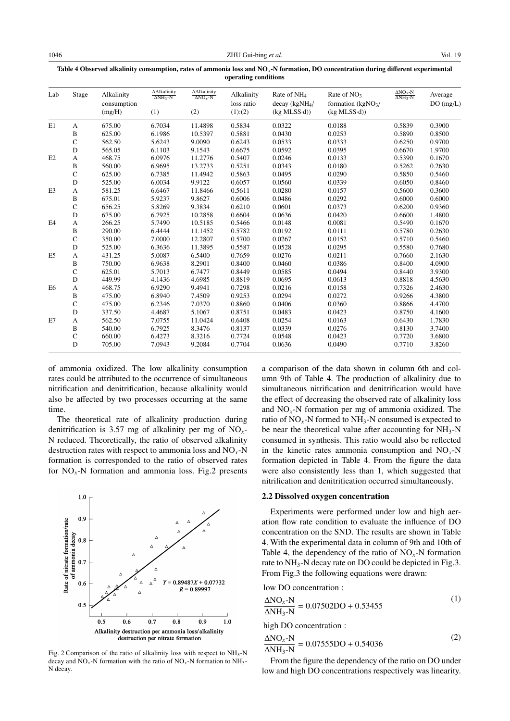| Lab            | Stage        | Alkalinity<br>consumption<br>(mg/H) | <b>AAlkalinity</b><br>$\triangle$ NH <sub>3</sub> -N<br>(1) | ΔAlkalinity<br>$\Delta NO_Y-N$<br>(2) | Alkalinity<br>loss ratio<br>(1):(2) | Rate of NH <sub>4</sub><br>decay (kgNH <sub>4</sub> )<br>$(kg MLSS \cdot d)$ | Rate of $NO3$<br>formation ( $kgNO3/$<br>$(kg MLSS \cdot d)$ | $\frac{\Delta NO_x-N}{\Delta NH_3-N}$ | Average<br>DO(mg/L) |
|----------------|--------------|-------------------------------------|-------------------------------------------------------------|---------------------------------------|-------------------------------------|------------------------------------------------------------------------------|--------------------------------------------------------------|---------------------------------------|---------------------|
|                |              |                                     |                                                             |                                       |                                     |                                                                              |                                                              |                                       |                     |
| E1             | A            | 675.00                              | 6.7034                                                      | 11.4898                               | 0.5834                              | 0.0322                                                                       | 0.0188                                                       | 0.5839                                | 0.3900              |
|                | $\, {\bf B}$ | 625.00                              | 6.1986                                                      | 10.5397                               | 0.5881                              | 0.0430                                                                       | 0.0253                                                       | 0.5890                                | 0.8500              |
|                | $\mathsf{C}$ | 562.50                              | 5.6243                                                      | 9.0090                                | 0.6243                              | 0.0533                                                                       | 0.0333                                                       | 0.6250                                | 0.9700              |
|                | D            | 565.05                              | 6.1103                                                      | 9.1543                                | 0.6675                              | 0.0592                                                                       | 0.0395                                                       | 0.6670                                | 1.9700              |
| E2             | A            | 468.75                              | 6.0976                                                      | 11.2776                               | 0.5407                              | 0.0246                                                                       | 0.0133                                                       | 0.5390                                | 0.1670              |
|                | B            | 560.00                              | 6.9695                                                      | 13.2733                               | 0.5251                              | 0.0343                                                                       | 0.0180                                                       | 0.5262                                | 0.2630              |
|                | $\mathsf{C}$ | 625.00                              | 6.7385                                                      | 11.4942                               | 0.5863                              | 0.0495                                                                       | 0.0290                                                       | 0.5850                                | 0.5460              |
|                | D            | 525.00                              | 6.0034                                                      | 9.9122                                | 0.6057                              | 0.0560                                                                       | 0.0339                                                       | 0.6050                                | 0.8460              |
| E <sub>3</sub> | A            | 581.25                              | 6.6467                                                      | 11.8466                               | 0.5611                              | 0.0280                                                                       | 0.0157                                                       | 0.5600                                | 0.3600              |
|                | B            | 675.01                              | 5.9237                                                      | 9.8627                                | 0.6006                              | 0.0486                                                                       | 0.0292                                                       | 0.6000                                | 0.6000              |
|                | $\mathsf{C}$ | 656.25                              | 5.8269                                                      | 9.3834                                | 0.6210                              | 0.0601                                                                       | 0.0373                                                       | 0.6200                                | 0.9360              |
|                | D            | 675.00                              | 6.7925                                                      | 10.2858                               | 0.6604                              | 0.0636                                                                       | 0.0420                                                       | 0.6600                                | 1.4800              |
| E <sub>4</sub> | А            | 266.25                              | 5.7490                                                      | 10.5185                               | 0.5466                              | 0.0148                                                                       | 0.0081                                                       | 0.5490                                | 0.1670              |
|                | B            | 290.00                              | 6.4444                                                      | 11.1452                               | 0.5782                              | 0.0192                                                                       | 0.0111                                                       | 0.5780                                | 0.2630              |
|                | $\mathsf{C}$ | 350.00                              | 7.0000                                                      | 12.2807                               | 0.5700                              | 0.0267                                                                       | 0.0152                                                       | 0.5710                                | 0.5460              |
|                | D            | 525.00                              | 6.3636                                                      | 11.3895                               | 0.5587                              | 0.0528                                                                       | 0.0295                                                       | 0.5580                                | 0.7680              |
| E <sub>5</sub> | А            | 431.25                              | 5.0087                                                      | 6.5400                                | 0.7659                              | 0.0276                                                                       | 0.0211                                                       | 0.7660                                | 2.1630              |
|                | B            | 750.00                              | 6.9638                                                      | 8.2901                                | 0.8400                              | 0.0460                                                                       | 0.0386                                                       | 0.8400                                | 4.0900              |
|                | C            | 625.01                              | 5.7013                                                      | 6.7477                                | 0.8449                              | 0.0585                                                                       | 0.0494                                                       | 0.8440                                | 3.9300              |
|                | D            | 449.99                              | 4.1436                                                      | 4.6985                                | 0.8819                              | 0.0695                                                                       | 0.0613                                                       | 0.8818                                | 4.5630              |
| E <sub>6</sub> | А            | 468.75                              | 6.9290                                                      | 9.4941                                | 0.7298                              | 0.0216                                                                       | 0.0158                                                       | 0.7326                                | 2.4630              |
|                | $\, {\bf B}$ | 475.00                              | 6.8940                                                      | 7.4509                                | 0.9253                              | 0.0294                                                                       | 0.0272                                                       | 0.9266                                | 4.3800              |
|                | $\mathsf{C}$ | 475.00                              | 6.2346                                                      | 7.0370                                | 0.8860                              | 0.0406                                                                       | 0.0360                                                       | 0.8866                                | 4.4700              |
|                | D            | 337.50                              | 4.4687                                                      | 5.1067                                | 0.8751                              | 0.0483                                                                       | 0.0423                                                       | 0.8750                                | 4.1600              |
| E7             | A            | 562.50                              | 7.0755                                                      | 11.0424                               | 0.6408                              | 0.0254                                                                       | 0.0163                                                       | 0.6430                                | 1.7830              |
|                | B            | 540.00                              | 6.7925                                                      | 8.3476                                | 0.8137                              | 0.0339                                                                       | 0.0276                                                       | 0.8130                                | 3.7400              |
|                | C            | 660.00                              | 6.4273                                                      | 8.3216                                | 0.7724                              | 0.0548                                                                       | 0.0423                                                       | 0.7720                                | 3.6800              |
|                | D            | 705.00                              | 7.0943                                                      | 9.2084                                | 0.7704                              | 0.0636                                                                       | 0.0490                                                       | 0.7710                                | 3.8260              |

Table 4 Observed alkalinity consumption, rates of ammonia loss and NO*x*-N formation, DO concentration during different experimental operating conditions

of ammonia oxidized. The low alkalinity consumption rates could be attributed to the occurrence of simultaneous nitrification and denitrification, because alkalinity would also be affected by two processes occurring at the same time.

The theoretical rate of alkalinity production during denitrification is 3.57 mg of alkalinity per mg of NO*x*-N reduced. Theoretically, the ratio of observed alkalinity destruction rates with respect to ammonia loss and NO*x*-N formation is corresponded to the ratio of observed rates for  $NO<sub>x</sub>$ -N formation and ammonia loss. Fig.2 presents



Fig. 2 Comparison of the ratio of alkalinity loss with respect to NH3-N decay and  $\overline{NO}_x$ -N formation with the ratio of  $\overline{NO}_x$ -N formation to  $\overline{NH}_3$ -N decay.

a comparison of the data shown in column 6th and column 9th of Table 4. The production of alkalinity due to simultaneous nitrification and denitrification would have the effect of decreasing the observed rate of alkalinity loss and  $NO<sub>x</sub>$ -N formation per mg of ammonia oxidized. The ratio of  $NO<sub>x</sub>$ -N formed to  $NH<sub>3</sub>$ -N consumed is expected to be near the theoretical value after accounting for  $NH_3-N$ consumed in synthesis. This ratio would also be reflected in the kinetic rates ammonia consumption and  $NO<sub>x</sub>-N$ formation depicted in Table 4. From the figure the data were also consistently less than 1, which suggested that nitrification and denitrification occurred simultaneously.

#### 2.2 Dissolved oxygen concentration

Experiments were performed under low and high aeration flow rate condition to evaluate the influence of DO concentration on the SND. The results are shown in Table 4. With the experimental data in column of 9th and 10th of Table 4, the dependency of the ratio of NO*x*-N formation rate to NH<sub>3</sub>-N decay rate on DO could be depicted in Fig.3. From Fig.3 the following equations were drawn:

low DO concentration :

$$
\frac{\Delta NO_x - N}{\Delta NH_3 - N} = 0.07502 DO + 0.53455
$$
 (1)

high DO concentration :

$$
\frac{\Delta NO_x - N}{\Delta NH_3 - N} = 0.07555DO + 0.54036\tag{2}
$$

From the figure the dependency of the ratio on DO under low and high DO concentrations respectively was linearity.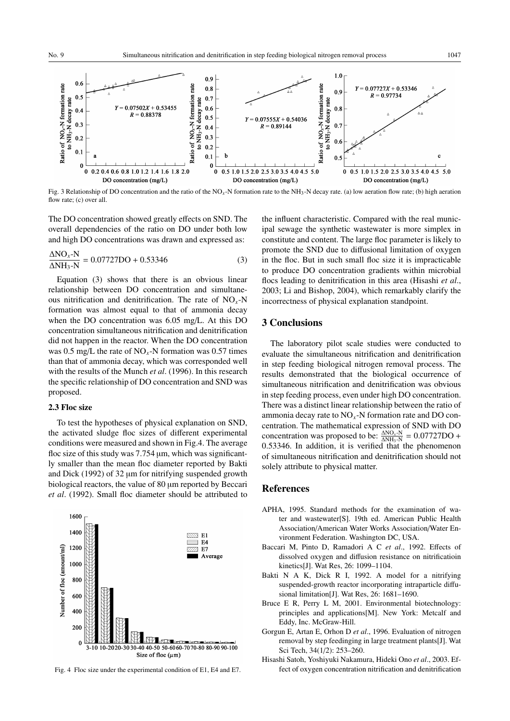

Fig. 3 Relationship of DO concentration and the ratio of the NO*x*-N formation rate to the NH3-N decay rate. (a) low aeration flow rate; (b) high aeration flow rate; (c) over all.

The DO concentration showed greatly effects on SND. The overall dependencies of the ratio on DO under both low and high DO concentrations was drawn and expressed as:

$$
\frac{\Delta NO_x - N}{\Delta NH_3 - N} = 0.07727 DO + 0.53346
$$
 (3)

Equation (3) shows that there is an obvious linear relationship between DO concentration and simultaneous nitrification and denitrification. The rate of NO*x*-N formation was almost equal to that of ammonia decay when the DO concentration was 6.05 mg/L. At this DO concentration simultaneous nitrification and denitrification did not happen in the reactor. When the DO concentration was 0.5 mg/L the rate of  $NO<sub>x</sub>$ -N formation was 0.57 times than that of ammonia decay, which was corresponded well with the results of the Munch *et al*. (1996). In this research the specific relationship of DO concentration and SND was proposed.

## 2.3 Floc size

To test the hypotheses of physical explanation on SND, the activated sludge floc sizes of different experimental conditions were measured and shown in Fig.4. The average floc size of this study was 7.754 µm, which was significantly smaller than the mean floc diameter reported by Bakti and Dick (1992) of 32  $\mu$ m for nitrifying suspended growth biological reactors, the value of 80  $\mu$ m reported by Beccari *et al*. (1992). Small floc diameter should be attributed to



Fig. 4 Floc size under the experimental condition of E1, E4 and E7.

the influent characteristic. Compared with the real municipal sewage the synthetic wastewater is more simplex in constitute and content. The large floc parameter is likely to promote the SND due to diffusional limitation of oxygen in the floc. But in such small floc size it is impracticable to produce DO concentration gradients within microbial flocs leading to denitrification in this area (Hisashi *et al*., 2003; Li and Bishop, 2004), which remarkably clarify the incorrectness of physical explanation standpoint.

# 3 Conclusions

The laboratory pilot scale studies were conducted to evaluate the simultaneous nitrification and denitrification in step feeding biological nitrogen removal process. The results demonstrated that the biological occurrence of simultaneous nitrification and denitrification was obvious in step feeding process, even under high DO concentration. There was a distinct linear relationship between the ratio of ammonia decay rate to NO*x*-N formation rate and DO concentration. The mathematical expression of SND with DO concentration was proposed to be:  $\frac{\Delta NO_x - N}{\Delta NH_3 - N} = 0.07727DD +$ 0.53346. In addition, it is verified that the phenomenon of simultaneous nitrification and denitrification should not solely attribute to physical matter.

# References

- APHA, 1995. Standard methods for the examination of water and wastewater[S]. 19th ed. American Public Health Association/American Water Works Association/Water Environment Federation. Washington DC, USA.
- Baccari M, Pinto D, Ramadori A C *et al*., 1992. Effects of dissolved oxygen and diffusion resistance on nitrificatioin kinetics[J]. Wat Res, 26: 1099–1104.
- Bakti N A K, Dick R I, 1992. A model for a nitrifying suspended-growth reactor incorporating intraparticle diffusional limitation[J]. Wat Res, 26: 1681–1690.
- Bruce E R, Perry L M, 2001. Environmental biotechnology: principles and applications[M]. New York: Metcalf and Eddy, Inc. McGraw-Hill.
- Gorgun E, Artan E, Orhon D *et al*., 1996. Evaluation of nitrogen removal by step feedinging in large treatment plants[J]. Wat Sci Tech, 34(1/2): 253–260.
- Hisashi Satoh, Yoshiyuki Nakamura, Hideki Ono *et al*., 2003. Effect of oxygen concentration nitrification and denitrification